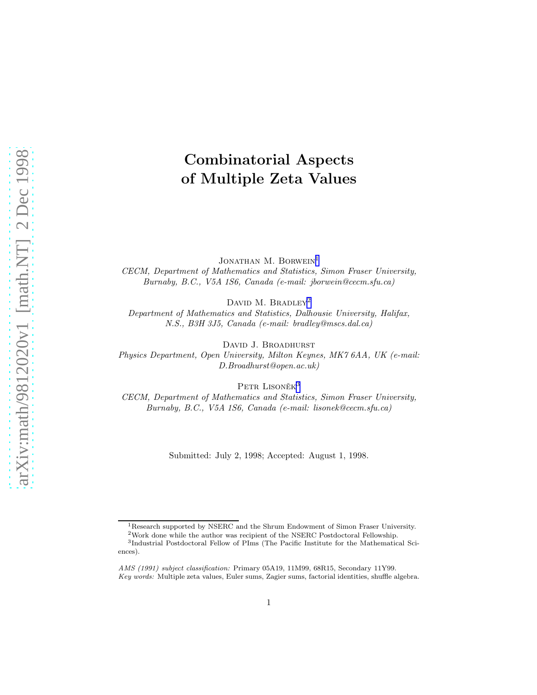# Combinatorial Aspects of Multiple Zeta Values

JONATHAN M. BORWEIN<sup>1</sup> CECM, Department of Mathematics and Statistics, Simon Fraser University, Burnaby, B.C., V5A 1S6, Canada (e-mail: jborwein@cecm.sfu.ca)

DAVID M. BRADLEY<sup>2</sup>

Department of Mathematics and Statistics, Dalhousie University, Halifax, N.S., B3H 3J5, Canada (e-mail: bradley@mscs.dal.ca)

DAVID J. BROADHURST

Physics Department, Open University, Milton Keynes, MK7 6AA, UK (e-mail: D.Broadhurst@open.ac.uk)

PETR LISONĚ $\rm K^3$ 

CECM, Department of Mathematics and Statistics, Simon Fraser University, Burnaby, B.C., V5A 1S6, Canada (e-mail: lisonek@cecm.sfu.ca)

Submitted: July 2, 1998; Accepted: August 1, 1998.

<sup>&</sup>lt;sup>1</sup>Research supported by NSERC and the Shrum Endowment of Simon Fraser University.

<sup>2</sup>Work done while the author was recipient of the NSERC Postdoctoral Fellowship.

<sup>3</sup> Industrial Postdoctoral Fellow of PIms (The Pacific Institute for the Mathematical Sciences).

AMS (1991) subject classification: Primary 05A19, 11M99, 68R15, Secondary 11Y99. Key words: Multiple zeta values, Euler sums, Zagier sums, factorial identities, shuffle algebra.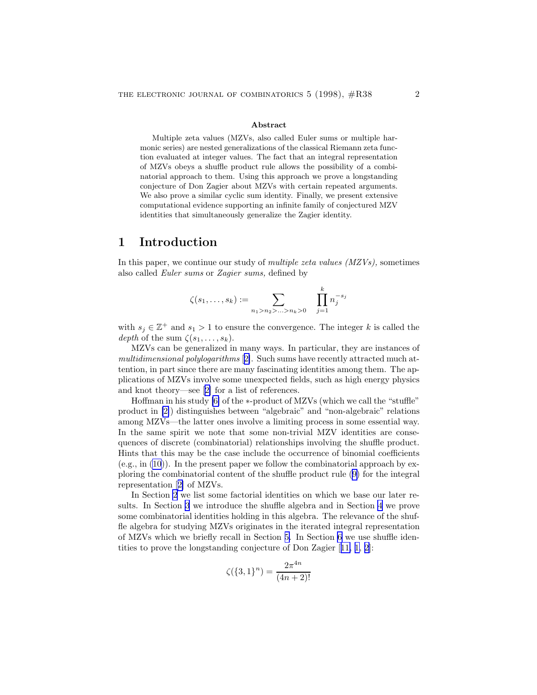#### Abstract

<span id="page-1-0"></span>Multiple zeta values (MZVs, also called Euler sums or multiple harmonic series) are nested generalizations of the classical Riemann zeta function evaluated at integer values. The fact that an integral representation of MZVs obeys a shuffle product rule allows the possibility of a combinatorial approach to them. Using this approach we prove a longstanding conjecture of Don Zagier about MZVs with certain repeated arguments. We also prove a similar cyclic sum identity. Finally, we present extensive computational evidence supporting an infinite family of conjectured MZV identities that simultaneously generalize the Zagier identity.

### 1 Introduction

In this paper, we continue our study of *multiple zeta values*  $(MZVs)$ , sometimes also called Euler sums or Zagier sums, defined by

$$
\zeta(s_1, \ldots, s_k) := \sum_{n_1 > n_2 > \ldots > n_k > 0} \quad \prod_{j=1}^k n_j^{-s_j}
$$

with  $s_j \in \mathbb{Z}^+$  and  $s_1 > 1$  to ensure the convergence. The integer k is called the depth of the sum  $\zeta(s_1,\ldots,s_k)$ .

MZVs can be generalized in many ways. In particular, they are instances of multidimensional polylogarithms [[2\]](#page-10-0). Such sums have recently attracted much attention, in part since there are many fascinating identities among them. The applications of MZVs involve some unexpected fields, such as high energy physics and knot theory—see[[2\]](#page-10-0) for a list of references.

Hoffman in his study [\[6\]](#page-11-0) of the ∗-product of MZVs (which we call the "stuffle" product in [\[2\]](#page-10-0)) distinguishes between "algebraic" and "non-algebraic" relations among MZVs—the latter ones involve a limiting process in some essential way. In the same spirit we note that some non-trivial MZV identities are consequences of discrete (combinatorial) relationships involving the shuffle product. Hints that this may be the case include the occurrence of binomial coefficients (e.g., in [\(10](#page-6-0))). In the present paper we follow the combinatorial approach by exploring the combinatorial content of the shuffle product rule([9\)](#page-6-0) for the integral representation[[2\]](#page-10-0) of MZVs.

In Section [2](#page-2-0) we list some factorial identities on which we base our later results. In Section [3](#page-2-0) we introduce the shuffle algebra and in Section [4](#page-3-0) we prove some combinatorial identities holding in this algebra. The relevance of the shuffle algebra for studying MZVs originates in the iterated integral representation of MZVs which we briefly recall in Section [5.](#page-5-0) In Section [6](#page-7-0) we use shuffle identities to prove the longstanding conjecture of Don Zagier[[11,](#page-11-0) [1, 2\]](#page-10-0):

$$
\zeta(\{3,1\}^n) = \frac{2\pi^{4n}}{(4n+2)!}
$$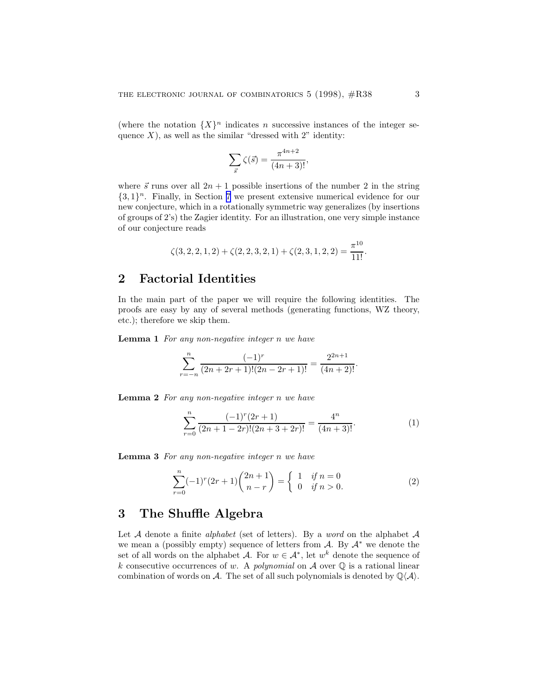<span id="page-2-0"></span>(where the notation  ${X}^n$  indicates *n* successive instances of the integer sequence  $X$ ), as well as the similar "dressed with 2" identity:

$$
\sum_{\vec{s}} \zeta(\vec{s}) = \frac{\pi^{4n+2}}{(4n+3)!},
$$

where  $\vec{s}$  runs over all  $2n + 1$  possible insertions of the number 2 in the string  ${3, 1}<sup>n</sup>$ . Finally, in Section [7](#page-8-0) we present extensive numerical evidence for our new conjecture, which in a rotationally symmetric way generalizes (by insertions of groups of 2's) the Zagier identity. For an illustration, one very simple instance of our conjecture reads

$$
\zeta(3,2,2,1,2) + \zeta(2,2,3,2,1) + \zeta(2,3,1,2,2) = \frac{\pi^{10}}{11!}.
$$

## 2 Factorial Identities

In the main part of the paper we will require the following identities. The proofs are easy by any of several methods (generating functions, WZ theory, etc.); therefore we skip them.

Lemma 1 For any non-negative integer n we have

$$
\sum_{r=-n}^{n} \frac{(-1)^r}{(2n+2r+1)!(2n-2r+1)!} = \frac{2^{2n+1}}{(4n+2)!}.
$$

Lemma 2 For any non-negative integer n we have

$$
\sum_{r=0}^{n} \frac{(-1)^r (2r+1)}{(2n+1-2r)!(2n+3+2r)!} = \frac{4^n}{(4n+3)!}.
$$
 (1)

Lemma 3 For any non-negative integer n we have

$$
\sum_{r=0}^{n} (-1)^{r} (2r+1) {2n+1 \choose n-r} = \begin{cases} 1 & \text{if } n=0\\ 0 & \text{if } n>0. \end{cases}
$$
 (2)

## 3 The Shuffle Algebra

Let  $A$  denote a finite *alphabet* (set of letters). By a *word* on the alphabet  $A$ we mean a (possibly empty) sequence of letters from  $A$ . By  $A^*$  we denote the set of all words on the alphabet A. For  $w \in A^*$ , let  $w^k$  denote the sequence of k consecutive occurrences of w. A polynomial on  $A$  over  $\mathbb Q$  is a rational linear combination of words on A. The set of all such polynomials is denoted by  $\mathbb{Q}\langle A \rangle$ .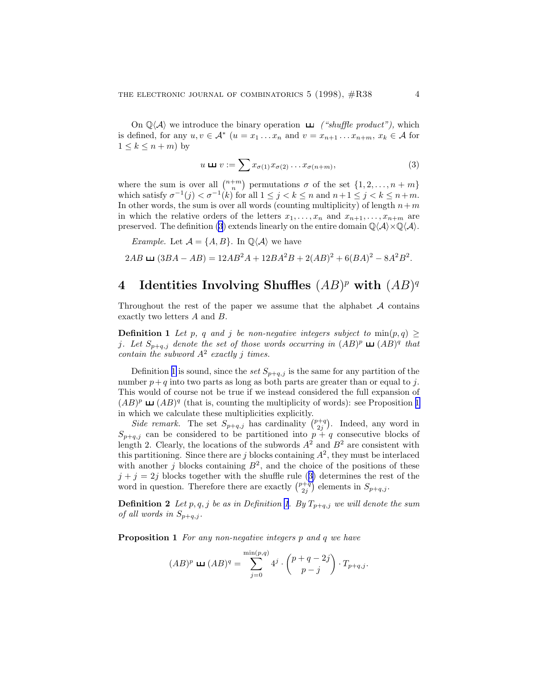<span id="page-3-0"></span>On  $\mathbb{Q}\langle A \rangle$  we introduce the binary operation  $\Box$  ("shuffle product"), which is defined, for any  $u, v \in A^*$   $(u = x_1 \ldots x_n$  and  $v = x_{n+1} \ldots x_{n+m}$ ,  $x_k \in A$  for  $1 \leq k \leq n+m$ ) by

$$
u \sqcup v := \sum x_{\sigma(1)} x_{\sigma(2)} \dots x_{\sigma(n+m)}, \tag{3}
$$

where the sum is over all  $\binom{n+m}{n}$  permutations  $\sigma$  of the set  $\{1, 2, ..., n+m\}$ which satisfy  $\sigma^{-1}(j) < \sigma^{-1}(k)$  for all  $1 \leq j < k \leq n$  and  $n+1 \leq j < k \leq n+m$ . In other words, the sum is over all words (counting multiplicity) of length  $n+m$ in which the relative orders of the letters  $x_1, \ldots, x_n$  and  $x_{n+1}, \ldots, x_{n+m}$  are preserved. The definition (3) extends linearly on the entire domain  $\mathbb{Q}\langle A\rangle\times\mathbb{Q}\langle A\rangle$ .

*Example.* Let  $\mathcal{A} = \{A, B\}$ . In  $\mathbb{Q}\langle \mathcal{A} \rangle$  we have

 $2AB \sqcup (3BA - AB) = 12AB^2A + 12BA^2B + 2(AB)^2 + 6(BA)^2 - 8A^2B^2.$ 

# 4 Identities Involving Shuffles  $(AB)^p$  with  $(AB)^q$

Throughout the rest of the paper we assume that the alphabet  $A$  contains exactly two letters A and B.

**Definition 1** Let p, q and j be non-negative integers subject to  $\min(p,q) \geq$ j. Let  $S_{p+q,j}$  denote the set of those words occurring in  $(AB)^p \sqcup (AB)^q$  that contain the subword  $A^2$  exactly j times.

Definition 1 is sound, since the set  $S_{p+q,j}$  is the same for any partition of the number  $p+q$  into two parts as long as both parts are greater than or equal to j. This would of course not be true if we instead considered the full expansion of  $(AB)^p$   $\Box$   $(AB)^q$  (that is, counting the multiplicity of words): see Proposition 1 in which we calculate these multiplicities explicitly.

Side remark. The set  $S_{p+q,j}$  has cardinality  $\binom{p+q}{2j}$ . Indeed, any word in  $S_{p+q,j}$  can be considered to be partitioned into  $p+q$  consecutive blocks of length 2. Clearly, the locations of the subwords  $A^2$  and  $B^2$  are consistent with this partitioning. Since there are j blocks containing  $A^2$ , they must be interlaced with another j blocks containing  $B^2$ , and the choice of the positions of these  $j + j = 2j$  blocks together with the shuffle rule (3) determines the rest of the word in question. Therefore there are exactly  $\binom{p+q}{2j}$  elements in  $S_{p+q,j}$ .

**Definition 2** Let p, q, j be as in Definition 1. By  $T_{p+q,j}$  we will denote the sum of all words in  $S_{p+q,j}$ .

Proposition 1 For any non-negative integers p and q we have

$$
(AB)^p \sqcup (AB)^q = \sum_{j=0}^{\min(p,q)} 4^j \cdot \binom{p+q-2j}{p-j} \cdot T_{p+q,j}.
$$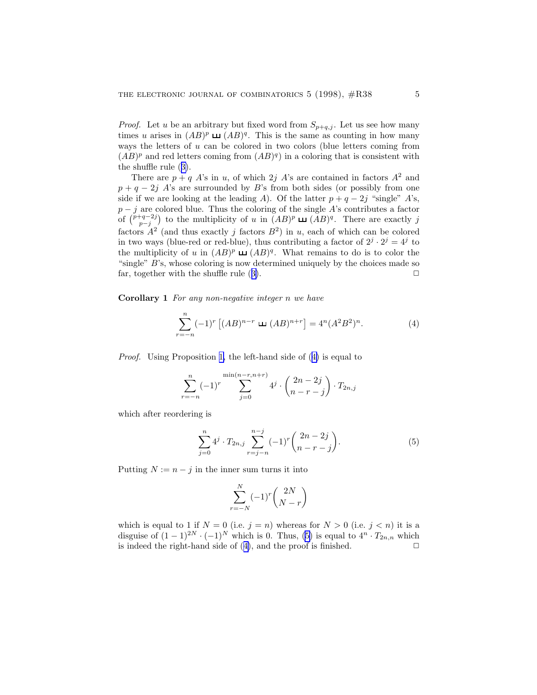<span id="page-4-0"></span>*Proof.* Let u be an arbitrary but fixed word from  $S_{p+q,j}$ . Let us see how many times u arises in  $(AB)^p \sqcup (AB)^q$ . This is the same as counting in how many ways the letters of  $u$  can be colored in two colors (blue letters coming from  $(AB)^p$  and red letters coming from  $(AB)^q$  in a coloring that is consistent with the shuffle rule([3\)](#page-3-0).

There are  $p + q A$ 's in u, of which 2j A's are contained in factors  $A^2$  and  $p + q - 2j$  A's are surrounded by B's from both sides (or possibly from one side if we are looking at the leading A). Of the latter  $p + q - 2j$  "single" A's,  $p - j$  are colored blue. Thus the coloring of the single A's contributes a factor of  $\binom{p+q-2j}{p-j}$  to the multiplicity of u in  $(AB)^p \sqcup (AB)^q$ . There are exactly j factors  $A^2$  (and thus exactly j factors  $B^2$ ) in u, each of which can be colored in two ways (blue-red or red-blue), thus contributing a factor of  $2^j \cdot 2^j = 4^j$  to the multiplicity of u in  $(AB)^p \sqcup (AB)^q$ . What remains to do is to color the "single" B's, whose coloring is now determined uniquely by the choices made so far,together with the shuffle rule  $(3)$  $(3)$ .  $\Box$ 

Corollary 1 For any non-negative integer n we have

$$
\sum_{r=-n}^{n} (-1)^{r} \left[ (AB)^{n-r} \ \sqcup \ (AB)^{n+r} \right] = 4^{n} (A^{2} B^{2})^{n}.
$$
 (4)

Proof. Using Proposition [1,](#page-3-0) the left-hand side of (4) is equal to

$$
\sum_{r=-n}^{n} (-1)^{r} \sum_{j=0}^{\min(n-r, n+r)} 4^{j} \cdot \binom{2n-2j}{n-r-j} \cdot T_{2n,j}
$$

which after reordering is

$$
\sum_{j=0}^{n} 4^j \cdot T_{2n,j} \sum_{r=j-n}^{n-j} (-1)^r \binom{2n-2j}{n-r-j}.
$$
 (5)

Putting  $N := n - j$  in the inner sum turns it into

$$
\sum_{r=-N}^{N} (-1)^r \binom{2N}{N-r}
$$

which is equal to 1 if  $N = 0$  (i.e.  $j = n$ ) whereas for  $N > 0$  (i.e.  $j < n$ ) it is a disguise of  $(1-1)^{2N} \cdot (-1)^N$  which is 0. Thus, (5) is equal to  $4^n \cdot T_{2n,n}$  which is indeed the right-hand side of  $(4)$ , and the proof is finished.  $\Box$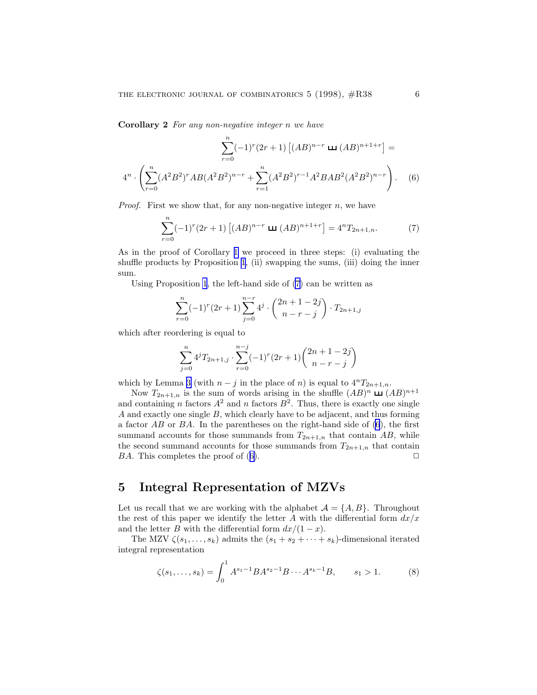<span id="page-5-0"></span>Corollary 2 For any non-negative integer n we have

$$
\sum_{r=0}^{n} (-1)^{r} (2r+1) \left[ (AB)^{n-r} \sqcup (AB)^{n+1+r} \right] =
$$
  

$$
4^{n} \cdot \left( \sum_{r=0}^{n} (A^{2}B^{2})^{r} AB (A^{2}B^{2})^{n-r} + \sum_{r=1}^{n} (A^{2}B^{2})^{r-1} A^{2}BAB^{2} (A^{2}B^{2})^{n-r} \right).
$$
 (6)

*Proof.* First we show that, for any non-negative integer  $n$ , we have

$$
\sum_{r=0}^{n} (-1)^{r} (2r+1) \left[ (AB)^{n-r} \pm (AB)^{n+1+r} \right] = 4^{n} T_{2n+1,n}.
$$
 (7)

As in the proof of Corollary [1](#page-4-0) we proceed in three steps: (i) evaluating the shuffle products by Proposition [1](#page-3-0), (ii) swapping the sums, (iii) doing the inner sum.

Using Proposition [1](#page-3-0), the left-hand side of (7) can be written as

$$
\sum_{r=0}^{n} (-1)^{r} (2r+1) \sum_{j=0}^{n-r} 4^{j} \cdot \binom{2n+1-2j}{n-r-j} \cdot T_{2n+1,j}
$$

which after reordering is equal to

$$
\sum_{j=0}^{n} 4^{j} T_{2n+1,j} \cdot \sum_{r=0}^{n-j} (-1)^{r} (2r+1) \binom{2n+1-2j}{n-r-j}
$$

which by Lemma [3](#page-2-0) (with  $n - j$  in the place of n) is equal to  $4^n T_{2n+1,n}$ .

Now  $T_{2n+1,n}$  is the sum of words arising in the shuffle  $(AB)^n \sqcup (AB)^{n+1}$ and containing n factors  $A^2$  and n factors  $B^2$ . Thus, there is exactly one single A and exactly one single B, which clearly have to be adjacent, and thus forming a factor  $AB$  or  $BA$ . In the parentheses on the right-hand side of  $(6)$ , the first summand accounts for those summands from  $T_{2n+1,n}$  that contain AB, while the second summand accounts for those summands from  $T_{2n+1,n}$  that contain BA. This completes the proof of  $(6)$ .

## 5 Integral Representation of MZVs

Let us recall that we are working with the alphabet  $A = \{A, B\}$ . Throughout the rest of this paper we identify the letter A with the differential form  $dx/x$ and the letter B with the differential form  $dx/(1-x)$ .

The MZV  $\zeta(s_1,\ldots,s_k)$  admits the  $(s_1+s_2+\cdots+s_k)$ -dimensional iterated integral representation

$$
\zeta(s_1,\ldots,s_k) = \int_0^1 A^{s_1-1} B A^{s_2-1} B \cdots A^{s_k-1} B, \qquad s_1 > 1. \tag{8}
$$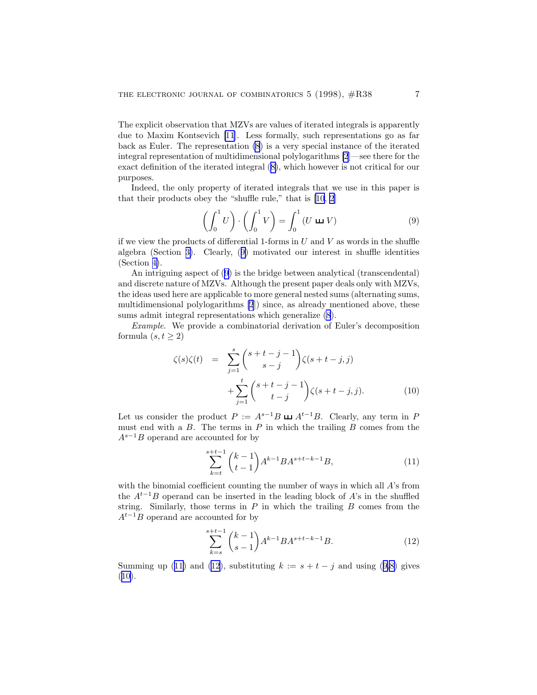<span id="page-6-0"></span>The explicit observation that MZVs are values of iterated integrals is apparently due to Maxim Kontsevich [\[11](#page-11-0)]. Less formally, such representations go as far back as Euler. The representation [\(8](#page-5-0)) is a very special instance of the iterated integral representation of multidimensional polylogarithms [\[2](#page-10-0)]—see there for the exact definition of the iterated integral([8\)](#page-5-0), which however is not critical for our purposes.

Indeed, the only property of iterated integrals that we use in this paper is that their products obey the "shuffle rule," that is [\[10](#page-11-0), [2](#page-10-0)]

$$
\left(\int_0^1 U\right) \cdot \left(\int_0^1 V\right) = \int_0^1 (U \sqcup V) \tag{9}
$$

if we view the products of differential 1-forms in  $U$  and  $V$  as words in the shuffle algebra (Section [3\)](#page-2-0). Clearly, (9) motivated our interest in shuffle identities (Section [4\)](#page-3-0).

An intriguing aspect of (9) is the bridge between analytical (transcendental) and discrete nature of MZVs. Although the present paper deals only with MZVs, the ideas used here are applicable to more general nested sums (alternating sums, multidimensional polylogarithms [\[2](#page-10-0)]) since, as already mentioned above, these sums admit integral representations which generalize [\(8](#page-5-0)).

Example. We provide a combinatorial derivation of Euler's decomposition formula  $(s, t > 2)$ 

$$
\zeta(s)\zeta(t) = \sum_{j=1}^{s} {s+t-j-1 \choose s-j} \zeta(s+t-j,j) + \sum_{j=1}^{t} {s+t-j-1 \choose t-j} \zeta(s+t-j,j).
$$
 (10)

Let us consider the product  $P := A^{s-1}B \sqcup A^{t-1}B$ . Clearly, any term in P must end with a  $B$ . The terms in  $P$  in which the trailing  $B$  comes from the  $A^{s-1}B$  operand are accounted for by

$$
\sum_{k=t}^{s+t-1} {k-1 \choose t-1} A^{k-1} B A^{s+t-k-1} B,
$$
\n(11)

with the binomial coefficient counting the number of ways in which all A's from the  $A^{t-1}B$  operand can be inserted in the leading block of A's in the shuffled string. Similarly, those terms in  $P$  in which the trailing  $B$  comes from the  $A^{t-1}B$  operand are accounted for by

$$
\sum_{k=s}^{s+t-1} {k-1 \choose s-1} A^{k-1} B A^{s+t-k-1} B.
$$
 (12)

Summing up (11) and (12), substituting  $k := s + t - j$  and using (9[,8\)](#page-5-0) gives  $(10).$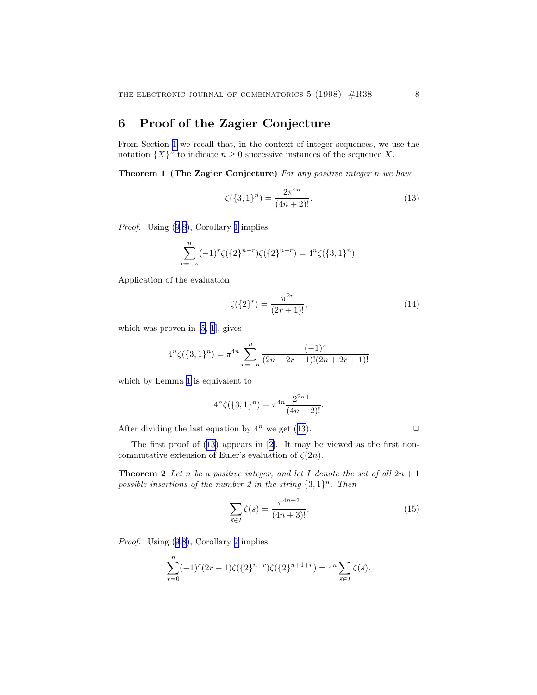## <span id="page-7-0"></span>6 Proof of the Zagier Conjecture

From Section [1](#page-1-0) we recall that, in the context of integer sequences, we use the notation  $\{X\}^n$  to indicate  $n \geq 0$  successive instances of the sequence X.

Theorem 1 (The Zagier Conjecture) For any positive integer n we have

$$
\zeta(\{3,1\}^n) = \frac{2\pi^{4n}}{(4n+2)!}.\tag{13}
$$

Proof. Using([9,](#page-6-0)[8\)](#page-5-0), Corollary [1](#page-4-0) implies

$$
\sum_{r=-n}^{n} (-1)^r \zeta(\{2\}^{n-r}) \zeta(\{2\}^{n+r}) = 4^n \zeta(\{3,1\}^n).
$$

Application of the evaluation

$$
\zeta(\{2\}^r) = \frac{\pi^{2r}}{(2r+1)!},\tag{14}
$$

which was proven in  $[5, 1]$  $[5, 1]$  $[5, 1]$ , gives

$$
4^{n}\zeta(\lbrace 3,1\rbrace^{n}) = \pi^{4n} \sum_{r=-n}^{n} \frac{(-1)^{r}}{(2n-2r+1)!(2n+2r+1)!}
$$

which by Lemma [1](#page-2-0) is equivalent to

$$
4^{n}\zeta(\lbrace 3,1\rbrace^{n}) = \pi^{4n} \frac{2^{2n+1}}{(4n+2)!}.
$$

After dividing the last equation by  $4^n$  we get (13).

The first proof of (13) appears in[[2\]](#page-10-0). It may be viewed as the first noncommutative extension of Euler's evaluation of  $\zeta(2n)$ .

**Theorem 2** Let n be a positive integer, and let I denote the set of all  $2n + 1$ possible insertions of the number 2 in the string  $\{3, 1\}^n$ . Then

$$
\sum_{\vec{s}\in I} \zeta(\vec{s}) = \frac{\pi^{4n+2}}{(4n+3)!}.
$$
 (15)

Proof. Using([9,](#page-6-0)[8\)](#page-5-0), Corollary [2](#page-4-0) implies

$$
\sum_{r=0}^{n} (-1)^r (2r+1) \zeta(\{2\}^{n-r}) \zeta(\{2\}^{n+1+r}) = 4^n \sum_{\vec{s} \in I} \zeta(\vec{s}).
$$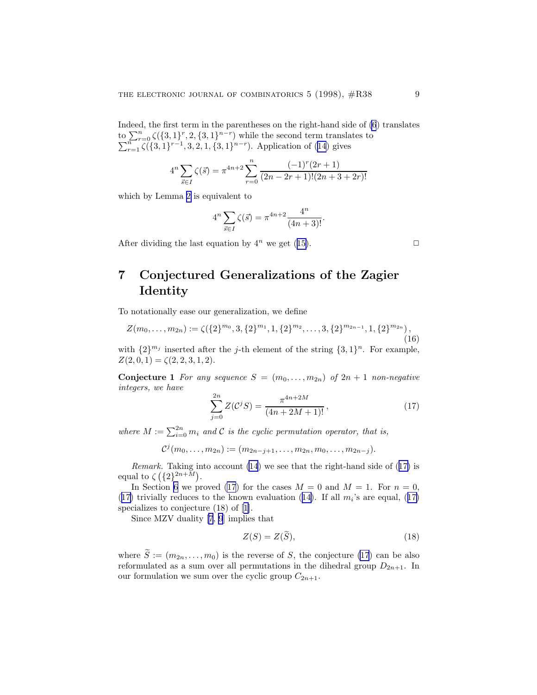<span id="page-8-0"></span>Indeed, the first term in the parentheses on the right-hand side of [\(6](#page-5-0)) translates  $\underline{\operatorname{to}}\sum_{r=0}^{n} \zeta(\{3,1\}^r, 2, \{3,1\}^{n-r})$  $\sum$  $\sum_{r=0}^{n} \zeta(\{3,1\}^r, 2, \{3,1\}^{n-r})$  while the second term translates to  $r=1 \zeta(\{3,1\}^{r-1}, 3, 2, 1, \{3,1\}^{n-r})$ . Application of [\(14](#page-7-0)) gives

$$
4^{n} \sum_{\vec{s} \in I} \zeta(\vec{s}) = \pi^{4n+2} \sum_{r=0}^{n} \frac{(-1)^{r} (2r+1)}{(2n-2r+1)!(2n+3+2r)!}
$$

which by Lemma [2](#page-2-0) is equivalent to

$$
4^{n} \sum_{\vec{s} \in I} \zeta(\vec{s}) = \pi^{4n+2} \frac{4^{n}}{(4n+3)!}.
$$

Afterdividing the last equation by  $4^n$  we get ([15\)](#page-7-0).

## 7 Conjectured Generalizations of the Zagier Identity

To notationally ease our generalization, we define

$$
Z(m_0,\ldots,m_{2n}) := \zeta(\{2\}^{m_0},3,\{2\}^{m_1},1,\{2\}^{m_2},\ldots,3,\{2\}^{m_{2n-1}},1,\{2\}^{m_{2n}}),
$$
\n(16)

with  $\{2\}^{m_j}$  inserted after the *j*-th element of the string  $\{3, 1\}^n$ . For example,  $Z(2, 0, 1) = \zeta(2, 2, 3, 1, 2).$ 

**Conjecture 1** For any sequence  $S = (m_0, \ldots, m_{2n})$  of  $2n + 1$  non-negative integers, we have

$$
\sum_{j=0}^{2n} Z(\mathcal{C}^j S) = \frac{\pi^{4n+2M}}{(4n+2M+1)!},
$$
\n(17)

where  $M := \sum_{i=0}^{2n} m_i$  and C is the cyclic permutation operator, that is,

 $\mathcal{C}^j(m_0,\ldots,m_{2n}) := (m_{2n-j+1},\ldots,m_{2n},m_0,\ldots,m_{2n-j}).$ 

Remark. Taking into account [\(14](#page-7-0)) we see that the right-hand side of (17) is equal to  $\zeta(\lbrace 2 \rbrace^{2n+\tilde{M}})$ .

In Section [6](#page-7-0) we proved (17) for the cases  $M = 0$  and  $M = 1$ . For  $n = 0$ , (17)trivially reduces to the known evaluation ([14\)](#page-7-0). If all  $m_i$ 's are equal, (17) specializesto conjecture  $(18)$  of [[1\]](#page-10-0).

Since MZV duality [\[7](#page-11-0), [9](#page-11-0)] implies that

$$
Z(S) = Z(\tilde{S}),\tag{18}
$$

where  $\widetilde{S} := (m_{2n}, \ldots, m_0)$  is the reverse of S, the conjecture (17) can be also reformulated as a sum over all permutations in the dihedral group  $D_{2n+1}$ . In our formulation we sum over the cyclic group  $C_{2n+1}$ .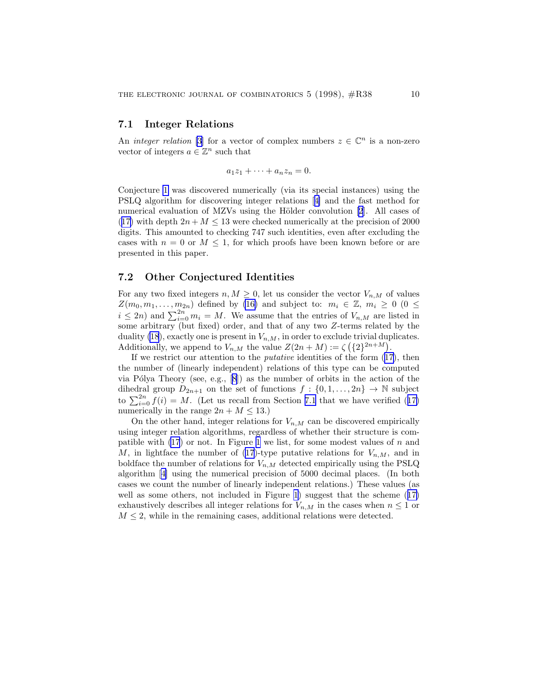#### 7.1 Integer Relations

An *integer relation* [\[3](#page-10-0)] for a vector of complex numbers  $z \in \mathbb{C}^n$  is a non-zero vector of integers  $a \in \mathbb{Z}^n$  such that

$$
a_1z_1 + \cdots + a_nz_n = 0.
$$

Conjecture [1](#page-8-0) was discovered numerically (via its special instances) using the PSLQ algorithm for discovering integer relations[[4\]](#page-10-0) and the fast method for numerical evaluation of MZVs using the Hölder convolution [\[2](#page-10-0)]. All cases of ([17\)](#page-8-0) with depth  $2n + M \leq 13$  were checked numerically at the precision of 2000 digits. This amounted to checking 747 such identities, even after excluding the cases with  $n = 0$  or  $M \leq 1$ , for which proofs have been known before or are presented in this paper.

### 7.2 Other Conjectured Identities

For any two fixed integers  $n, M \geq 0$ , let us consider the vector  $V_{n,M}$  of values  $Z(m_0, m_1, \ldots, m_{2n})$  defined by [\(16\)](#page-8-0) and subject to:  $m_i \in \mathbb{Z}, m_i \geq 0$  (0  $\leq$  $i \leq 2n$ ) and  $\sum_{i=0}^{2n} m_i = M$ . We assume that the entries of  $V_{n,M}$  are listed in some arbitrary (but fixed) order, and that of any two Z-terms related by the duality [\(18](#page-8-0)), exactly one is present in  $V_{n,M}$ , in order to exclude trivial duplicates. Additionally, we append to  $V_{n,M}$  the value  $Z(2n+M) := \zeta(\lbrace 2 \rbrace^{2n+M})$ .

Ifwe restrict our attention to the *putative* identities of the form  $(17)$  $(17)$ , then the number of (linearly independent) relations of this type can be computed viaPólya Theory (see, e.g.,  $[8]$  $[8]$ ) as the number of orbits in the action of the dihedral group  $D_{2n+1}$  on the set of functions  $f: \{0, 1, ..., 2n\} \rightarrow \mathbb{N}$  subject to $\sum_{i=0}^{2n} f(i) = M$ . (Let us recall from Section 7.1 that we have verified ([17\)](#page-8-0) numerically in the range  $2n + M \leq 13$ .

On the other hand, integer relations for  $V_{n,M}$  can be discovered empirically using integer relation algorithms, regardless of whether their structure is compatible with  $(17)$  or not. In Figure [1](#page-10-0) we list, for some modest values of n and M,in lightface the number of ([17](#page-8-0))-type putative relations for  $V_{n,M}$ , and in boldface the number of relations for  $V_{n,M}$  detected empirically using the PSLQ algorithm[[4\]](#page-10-0) using the numerical precision of 5000 decimal places. (In both cases we count the number of linearly independent relations.) These values (as well as some others, not included in Figure [1](#page-10-0)) suggest that the scheme([17\)](#page-8-0) exhaustively describes all integer relations for  $V_{n,M}$  in the cases when  $n \leq 1$  or  $M \leq 2$ , while in the remaining cases, additional relations were detected.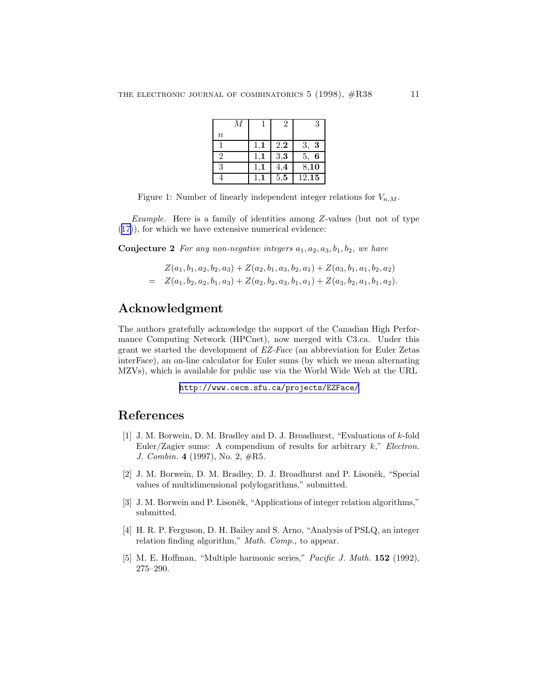|                | М |                | $\overline{2}$ | 3       |
|----------------|---|----------------|----------------|---------|
| $\it{n}$       |   |                |                |         |
|                |   | $1,\mathbf{1}$ | 2,2            | 3,<br>3 |
| $\overline{2}$ |   |                | 3,3            | 6<br>5. |
| 3              |   |                | 4,4            | 8,10    |
|                |   |                | 5,5            | 12,15   |

<span id="page-10-0"></span>Figure 1: Number of linearly independent integer relations for  $V_{n,M}$ .

Example. Here is a family of identities among Z-values (but not of type ([17\)](#page-8-0)), for which we have extensive numerical evidence:

**Conjecture 2** For any non-negative integers  $a_1, a_2, a_3, b_1, b_2$ , we have

$$
Z(a_1, b_1, a_2, b_2, a_3) + Z(a_2, b_1, a_3, b_2, a_1) + Z(a_3, b_1, a_1, b_2, a_2)
$$
  
= 
$$
Z(a_1, b_2, a_2, b_1, a_3) + Z(a_2, b_2, a_3, b_1, a_1) + Z(a_3, b_2, a_1, b_1, a_2).
$$

## Acknowledgment

The authors gratefully acknowledge the support of the Canadian High Performance Computing Network (HPCnet), now merged with C3.ca. Under this grant we started the development of EZ-Face (an abbreviation for Euler Zetas interFace), an on-line calculator for Euler sums (by which we mean alternating MZVs), which is available for public use via the World Wide Web at the URL

```
http://www.cecm.sfu.ca/projects/EZFace/
```
### References

- [1] J. M. Borwein, D. M. Bradley and D. J. Broadhurst, "Evaluations of k-fold Euler/Zagier sums: A compendium of results for arbitrary  $k$ ," Electron. J. Combin. 4 (1997), No. 2, #R5.
- [2] J. M. Borwein, D. M. Bradley, D. J. Broadhurst and P. Lisoněk, "Special values of multidimensional polylogarithms," submitted.
- [3] J. M. Borwein and P. Lisoněk, "Applications of integer relation algorithms," submitted.
- [4] H. R. P. Ferguson, D. H. Bailey and S. Arno, "Analysis of PSLQ, an integer relation finding algorithm," Math. Comp., to appear.
- [5] M. E. Hoffman, "Multiple harmonic series," Pacific J. Math. 152 (1992), 275–290.